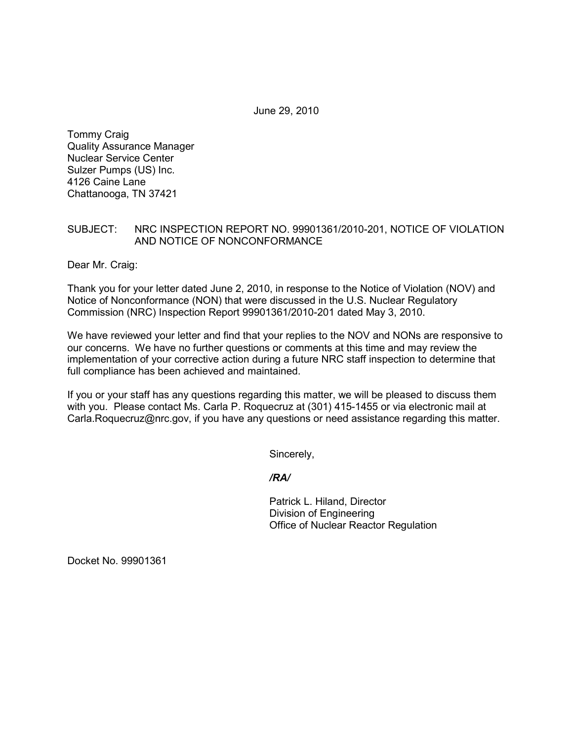June 29, 2010

Tommy Craig Quality Assurance Manager Nuclear Service Center Sulzer Pumps (US) Inc. 4126 Caine Lane Chattanooga, TN 37421

## SUBJECT: NRC INSPECTION REPORT NO. 99901361/2010-201, NOTICE OF VIOLATION AND NOTICE OF NONCONFORMANCE

Dear Mr. Craig:

Thank you for your letter dated June 2, 2010, in response to the Notice of Violation (NOV) and Notice of Nonconformance (NON) that were discussed in the U.S. Nuclear Regulatory Commission (NRC) Inspection Report 99901361/2010-201 dated May 3, 2010.

We have reviewed your letter and find that your replies to the NOV and NONs are responsive to our concerns. We have no further questions or comments at this time and may review the implementation of your corrective action during a future NRC staff inspection to determine that full compliance has been achieved and maintained.

If you or your staff has any questions regarding this matter, we will be pleased to discuss them with you. Please contact Ms. Carla P. Roquecruz at (301) 415-1455 or via electronic mail at Carla.Roquecruz@nrc.gov, if you have any questions or need assistance regarding this matter.

Sincerely,

*/RA/* 

Patrick L. Hiland, Director Division of Engineering Office of Nuclear Reactor Regulation

Docket No. 99901361